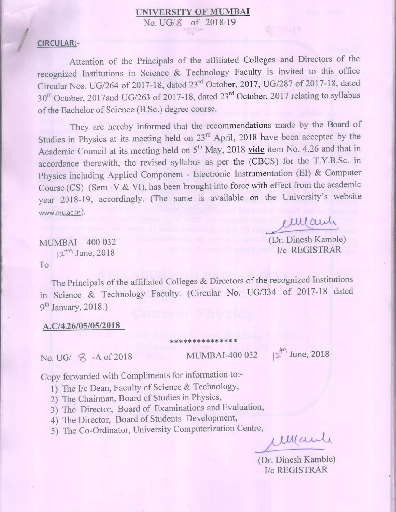# **UNIVERSITY OF MUMBAI**

No. UG/ 8 of 2018-19

# CIRCULAR:-

Attention of the Principals of the affiliated Colleges and Directors of the recognized Institutions in Science & Technology Faculty is invited to this office Circular Nos. UG/264 of 2017-18, dated 23rd October, 2017, UG/287 of 2017-18, dated 30<sup>th</sup> October, 2017and UG/263 of 2017-18, dated 23<sup>rd</sup> October, 2017 relating to syllabus of the Bachelor of Science (B.Sc.) degree course.

They are hereby informed that the recommendations made by the Board of Studies in Physics at its meeting held on 23<sup>rd</sup> April, 2018 have been accepted by the Academic Council at its meeting held on 5<sup>th</sup> May, 2018 vide item No. 4.26 and that in accordance therewith, the revised syllabus as per the (CBCS) for the T.Y.B.Sc. in Physics including Applied Component - Electronic Instrumentation (EI) & Computer Course (CS) (Sem -V & VI), has been brought into force with effect from the academic year 2018-19, accordingly. (The same is available on the University's website www.mu.ac.in).

emany

(Dr. Dinesh Kamble) **I/c REGISTRAR** 

MUMBAI-400 032  $12^{14}$  June, 2018

To

The Principals of the affiliated Colleges & Directors of the recognized Institutions in Science & Technology Faculty. (Circular No. UG/334 of 2017-18 dated 9<sup>th</sup> January, 2018.)

\*\*\*\*\*\*\*\*\*\*\*\*\*\*\*

## A.C/4.26/05/05/2018

No. UG/ 8 - A of 2018

**MUMBAI-400 032** 

 $12^{11}$  June, 2018

Copy forwarded with Compliments for information to:-

- 1) The I/c Dean, Faculty of Science & Technology,
- 2) The Chairman, Board of Studies in Physics,
- 3) The Director, Board of Examinations and Evaluation,
- 4) The Director, Board of Students Development,
- 5) The Co-Ordinator, University Computerization Centre,

Mary

(Dr. Dinesh Kamble) I/c REGISTRAR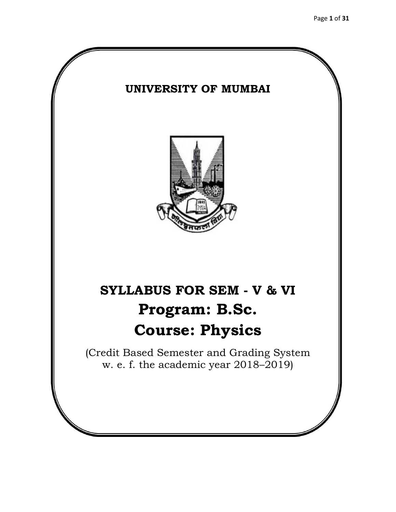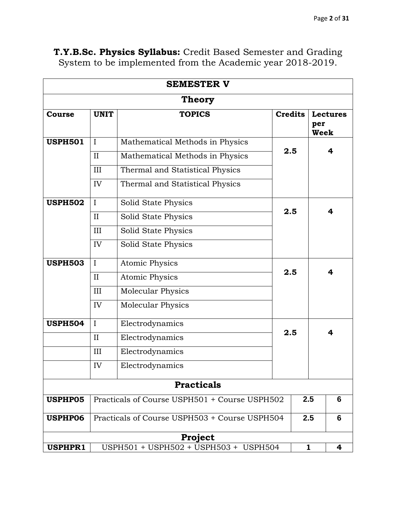|                   |              | <b>SEMESTER V</b>                             |                |     |                         |
|-------------------|--------------|-----------------------------------------------|----------------|-----|-------------------------|
|                   |              | <b>Theory</b>                                 |                |     |                         |
| Course            | <b>UNIT</b>  | <b>TOPICS</b>                                 | <b>Credits</b> | per | <b>Lectures</b><br>Week |
| <b>USPH501</b>    | $\mathbf I$  | Mathematical Methods in Physics               | 2.5            |     | 4                       |
|                   | II           | Mathematical Methods in Physics               |                |     |                         |
|                   | III          | Thermal and Statistical Physics               |                |     |                         |
|                   | IV           | Thermal and Statistical Physics               |                |     |                         |
| <b>USPH502</b>    | $\mathbf{I}$ | Solid State Physics                           |                |     |                         |
|                   | II           | Solid State Physics                           | 2.5            |     | 4                       |
|                   | III          | Solid State Physics                           |                |     |                         |
|                   | IV           | Solid State Physics                           |                |     |                         |
| <b>USPH503</b>    | $\mathbf I$  | <b>Atomic Physics</b>                         |                |     |                         |
|                   | $\mathbf{I}$ | <b>Atomic Physics</b>                         | 2.5            |     | 4                       |
|                   | III          | <b>Molecular Physics</b>                      |                |     |                         |
|                   | IV           | <b>Molecular Physics</b>                      |                |     |                         |
| <b>USPH504</b>    | $\mathbf I$  | Electrodynamics                               |                |     |                         |
|                   | II           | Electrodynamics                               | 2.5            |     | 4                       |
|                   | III          | Electrodynamics                               |                |     |                         |
|                   | IV           | Electrodynamics                               |                |     |                         |
| <b>Practicals</b> |              |                                               |                |     |                         |
| USPHP05           |              | Practicals of Course USPH501 + Course USPH502 |                | 2.5 | 6                       |
| <b>USPHP06</b>    |              | Practicals of Course USPH503 + Course USPH504 |                | 2.5 | 6                       |
|                   |              | Project                                       |                |     |                         |
| <b>USPHPR1</b>    |              | USPH501 + USPH502 + USPH503 + USPH504         |                | 1   | 4                       |

**T.Y.B.Sc. Physics Syllabus:** Credit Based Semester and Grading System to be implemented from the Academic year 2018-2019.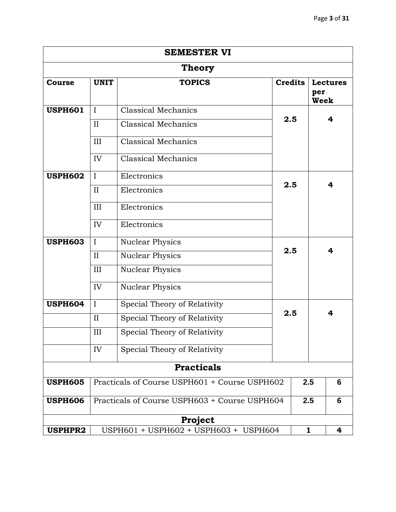|                |             | <b>SEMESTER VI</b>                            |                |                    |                 |
|----------------|-------------|-----------------------------------------------|----------------|--------------------|-----------------|
|                |             | <b>Theory</b>                                 |                |                    |                 |
| Course         | <b>UNIT</b> | <b>TOPICS</b>                                 | <b>Credits</b> | per<br><b>Week</b> | <b>Lectures</b> |
| <b>USPH601</b> | $\mathbf I$ | <b>Classical Mechanics</b>                    | 2.5            |                    | 4               |
|                | II          | Classical Mechanics                           |                |                    |                 |
|                | III         | <b>Classical Mechanics</b>                    |                |                    |                 |
|                | IV          | <b>Classical Mechanics</b>                    |                |                    |                 |
| <b>USPH602</b> | $\mathbf I$ | Electronics                                   |                |                    |                 |
|                | II          | Electronics                                   | 2.5            |                    | 4               |
|                | III         | Electronics                                   |                |                    |                 |
|                | IV          | Electronics                                   |                |                    |                 |
| <b>USPH603</b> | $\mathbf I$ | <b>Nuclear Physics</b>                        |                |                    |                 |
|                | II          | <b>Nuclear Physics</b>                        | 2.5            |                    | 4               |
|                | III         | <b>Nuclear Physics</b>                        |                |                    |                 |
|                | IV          | Nuclear Physics                               |                |                    |                 |
| <b>USPH604</b> | $\mathbf I$ | Special Theory of Relativity                  |                |                    |                 |
|                | $\rm II$    | Special Theory of Relativity                  | 2.5            |                    | 4               |
|                | III         | Special Theory of Relativity                  |                |                    |                 |
|                | IV          | Special Theory of Relativity                  |                |                    |                 |
|                |             | <b>Practicals</b>                             |                |                    |                 |
| <b>USPH605</b> |             | Practicals of Course USPH601 + Course USPH602 |                | 2.5                | 6               |
| <b>USPH606</b> |             | Practicals of Course USPH603 + Course USPH604 |                | 2.5                | 6               |
|                |             | Project                                       |                |                    |                 |
| <b>USPHPR2</b> |             | USPH601 + USPH602 + USPH603 + USPH604         |                | 1                  | 4               |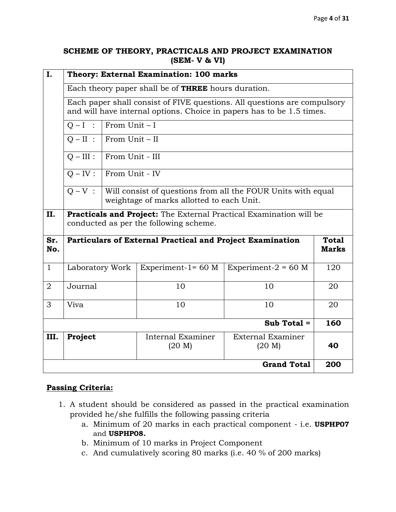#### **SCHEME OF THEORY, PRACTICALS AND PROJECT EXAMINATION (SEM- V & VI)**

| I.             |                                                                                                                                                   | Theory: External Examination: 100 marks |                                                           |                                                              |                              |  |
|----------------|---------------------------------------------------------------------------------------------------------------------------------------------------|-----------------------------------------|-----------------------------------------------------------|--------------------------------------------------------------|------------------------------|--|
|                | Each theory paper shall be of <b>THREE</b> hours duration.                                                                                        |                                         |                                                           |                                                              |                              |  |
|                | Each paper shall consist of FIVE questions. All questions are compulsory<br>and will have internal options. Choice in papers has to be 1.5 times. |                                         |                                                           |                                                              |                              |  |
|                | $O-I$ :                                                                                                                                           | From $Unit - I$                         |                                                           |                                                              |                              |  |
|                | $O-II$ :                                                                                                                                          | From Unit - II                          |                                                           |                                                              |                              |  |
|                | $O - III$ :                                                                                                                                       | From Unit - III                         |                                                           |                                                              |                              |  |
|                | $Q - IV$ :                                                                                                                                        | From Unit - IV                          |                                                           |                                                              |                              |  |
|                | $O - V$ :                                                                                                                                         |                                         | weightage of marks allotted to each Unit.                 | Will consist of questions from all the FOUR Units with equal |                              |  |
| II.            | <b>Practicals and Project:</b> The External Practical Examination will be<br>conducted as per the following scheme.                               |                                         |                                                           |                                                              |                              |  |
| Sr.<br>No.     |                                                                                                                                                   |                                         | Particulars of External Practical and Project Examination |                                                              | <b>Total</b><br><b>Marks</b> |  |
| $\mathbf{1}$   | Laboratory Work                                                                                                                                   |                                         | Experiment- $1=60$ M                                      | Experiment- $2 = 60$ M                                       | 120                          |  |
| $\overline{2}$ | Journal                                                                                                                                           |                                         | 10                                                        | 10                                                           | 20                           |  |
| 3              | Viva                                                                                                                                              |                                         | 10                                                        | 10                                                           | 20                           |  |
| Sub Total =    |                                                                                                                                                   |                                         |                                                           |                                                              | 160                          |  |
| III.           | Project                                                                                                                                           |                                         | Internal Examiner<br>(20 M)                               | External Examiner<br>(20 M)                                  | 40                           |  |
|                |                                                                                                                                                   |                                         |                                                           | <b>Grand Total</b>                                           | 200                          |  |

## **Passing Criteria:**

- 1. A student should be considered as passed in the practical examination provided he/she fulfills the following passing criteria
	- a. Minimum of 20 marks in each practical component i.e. **USPHP07**  and **USPHP08.**
	- b. Minimum of 10 marks in Project Component
	- c. And cumulatively scoring 80 marks (i.e. 40 % of 200 marks)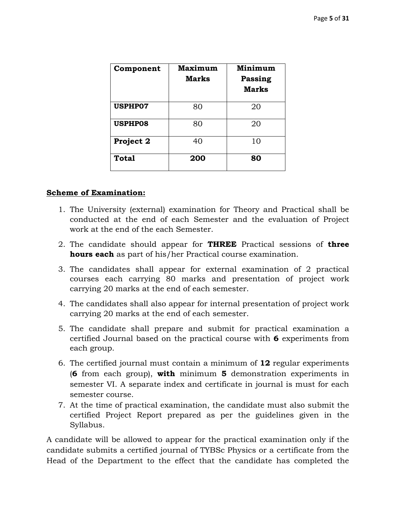| Component      | <b>Maximum</b><br>Marks | Minimum<br>Passing<br><b>Marks</b> |
|----------------|-------------------------|------------------------------------|
| <b>USPHP07</b> | 80                      | 20                                 |
| <b>USPHP08</b> | 80                      | 20                                 |
| Project 2      | 40                      | 10                                 |
| <b>Total</b>   | 200                     | 80                                 |

#### **Scheme of Examination:**

- 1. The University (external) examination for Theory and Practical shall be conducted at the end of each Semester and the evaluation of Project work at the end of the each Semester.
- 2. The candidate should appear for **THREE** Practical sessions of **three hours each** as part of his/her Practical course examination.
- 3. The candidates shall appear for external examination of 2 practical courses each carrying 80 marks and presentation of project work carrying 20 marks at the end of each semester.
- 4. The candidates shall also appear for internal presentation of project work carrying 20 marks at the end of each semester.
- 5. The candidate shall prepare and submit for practical examination a certified Journal based on the practical course with **6** experiments from each group.
- 6. The certified journal must contain a minimum of **12** regular experiments (**6** from each group), **with** minimum **5** demonstration experiments in semester VI. A separate index and certificate in journal is must for each semester course.
- 7. At the time of practical examination, the candidate must also submit the certified Project Report prepared as per the guidelines given in the Syllabus.

A candidate will be allowed to appear for the practical examination only if the candidate submits a certified journal of TYBSc Physics or a certificate from the Head of the Department to the effect that the candidate has completed the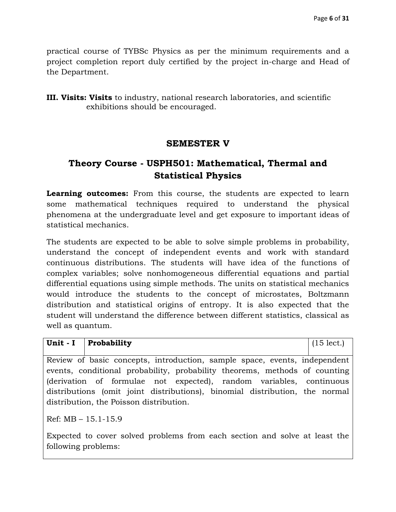practical course of TYBSc Physics as per the minimum requirements and a project completion report duly certified by the project in-charge and Head of the Department.

**III. Visits: Visits** to industry, national research laboratories, and scientific exhibitions should be encouraged.

## **SEMESTER V**

# **Theory Course - USPH501: Mathematical, Thermal and Statistical Physics**

**Learning outcomes:** From this course, the students are expected to learn some mathematical techniques required to understand the physical phenomena at the undergraduate level and get exposure to important ideas of statistical mechanics.

The students are expected to be able to solve simple problems in probability, understand the concept of independent events and work with standard continuous distributions. The students will have idea of the functions of complex variables; solve nonhomogeneous differential equations and partial differential equations using simple methods. The units on statistical mechanics would introduce the students to the concept of microstates, Boltzmann distribution and statistical origins of entropy. It is also expected that the student will understand the difference between different statistics, classical as well as quantum.

| Unit - $I$   Probability                                                                                                                                                                      | $(15 \text{ lect.})$ |
|-----------------------------------------------------------------------------------------------------------------------------------------------------------------------------------------------|----------------------|
| Review of basic concepts, introduction, sample space, events, independent<br>events, conditional probability, probability theorems, methods of counting                                       |                      |
| (derivation of formulae not expected), random variables, continuous<br>distributions (omit joint distributions), binomial distribution, the normal<br>distribution, the Poisson distribution. |                      |
| Ref: $MB - 15.1 - 15.9$                                                                                                                                                                       |                      |
| Expected to cover solved problems from each section and solve at least the<br>following problems:                                                                                             |                      |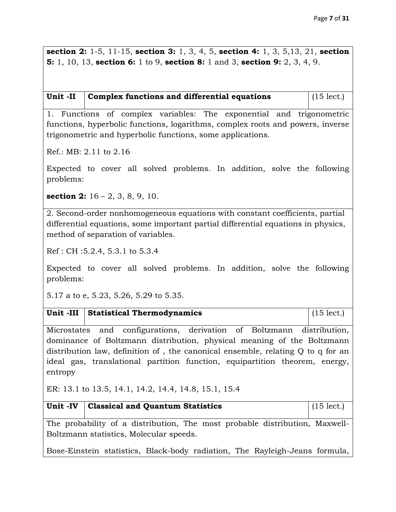**section 2:** 1-5, 11-15, **section 3:** 1, 3, 4, 5, **section 4:** 1, 3, 5,13, 21, **section 5:** 1, 10, 13, **section 6:** 1 to 9, **section 8:** 1 and 3, **section 9:** 2, 3, 4, 9.

| Unit -II $\vert$ Complex functions and differential equations | $\vert$ (15 lect.) |
|---------------------------------------------------------------|--------------------|
|                                                               |                    |

1. Functions of complex variables: The exponential and trigonometric functions, hyperbolic functions, logarithms, complex roots and powers, inverse trigonometric and hyperbolic functions, some applications.

Ref.: MB: 2.11 to 2.16

Expected to cover all solved problems. In addition, solve the following problems:

**section 2:** 16 – 2, 3, 8, 9, 10.

2. Second-order nonhomogeneous equations with constant coefficients, partial differential equations, some important partial differential equations in physics, method of separation of variables.

Ref : CH :5.2.4, 5.3.1 to 5.3.4

Expected to cover all solved problems. In addition, solve the following problems:

5.17 a to e, 5.23, 5.26, 5.29 to 5.35.

|  | Unit -III Statistical Thermodynamics | $(15 \text{ lect.})$ |
|--|--------------------------------------|----------------------|
|--|--------------------------------------|----------------------|

Microstates and configurations, derivation of Boltzmann distribution, dominance of Boltzmann distribution, physical meaning of the Boltzmann distribution law, definition of , the canonical ensemble, relating Q to q for an ideal gas, translational partition function, equipartition theorem, energy, entropy

ER: 13.1 to 13.5, 14.1, 14.2, 14.4, 14.8, 15.1, 15.4

|                                         | Unit -IV   Classical and Quantum Statistics                                 | $(15$ lect.) |  |  |  |
|-----------------------------------------|-----------------------------------------------------------------------------|--------------|--|--|--|
|                                         | The probability of a distribution, The most probable distribution, Maxwell- |              |  |  |  |
| Boltzmann statistics, Molecular speeds. |                                                                             |              |  |  |  |

Bose-Einstein statistics, Black-body radiation, The Rayleigh-Jeans formula,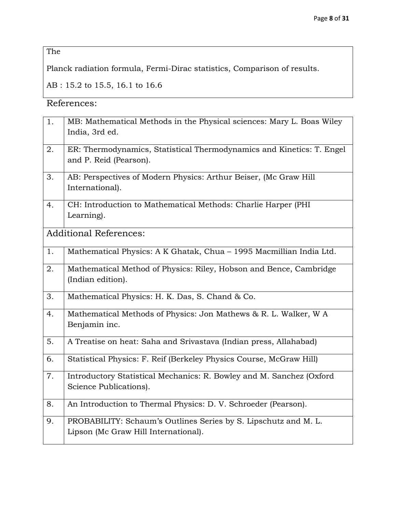The

Planck radiation formula, Fermi-Dirac statistics, Comparison of results.

AB : 15.2 to 15.5, 16.1 to 16.6

References:

| 1. | MB: Mathematical Methods in the Physical sciences: Mary L. Boas Wiley |
|----|-----------------------------------------------------------------------|
|    | India, 3rd ed.                                                        |
|    |                                                                       |
| 2. | ER: Thermodynamics, Statistical Thermodynamics and Kinetics: T. Engel |
|    | and P. Reid (Pearson).                                                |
| 3. | AB: Perspectives of Modern Physics: Arthur Beiser, (Mc Graw Hill      |
|    | International).                                                       |
| 4. | CH: Introduction to Mathematical Methods: Charlie Harper (PHI         |
|    | Learning).                                                            |
|    |                                                                       |
|    | <b>Additional References:</b>                                         |
| 1. | Mathematical Physics: A K Ghatak, Chua - 1995 Macmillian India Ltd.   |
|    |                                                                       |
| 2. | Mathematical Method of Physics: Riley, Hobson and Bence, Cambridge    |
|    | (Indian edition).                                                     |
| 3. | Mathematical Physics: H. K. Das, S. Chand & Co.                       |
| 4. | Mathematical Methods of Physics: Jon Mathews & R. L. Walker, W A      |
|    | Benjamin inc.                                                         |
|    |                                                                       |
| 5. | A Treatise on heat: Saha and Srivastava (Indian press, Allahabad)     |
| 6. | Statistical Physics: F. Reif (Berkeley Physics Course, McGraw Hill)   |
| 7. | Introductory Statistical Mechanics: R. Bowley and M. Sanchez (Oxford  |
|    | Science Publications).                                                |
|    |                                                                       |
| 8. | An Introduction to Thermal Physics: D. V. Schroeder (Pearson).        |
|    |                                                                       |
| 9. | PROBABILITY: Schaum's Outlines Series by S. Lipschutz and M. L.       |
|    | Lipson (Mc Graw Hill International).                                  |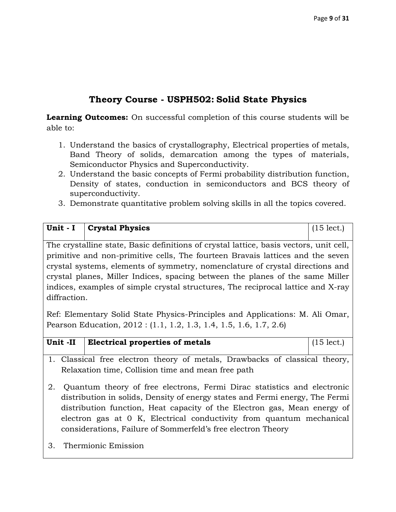# **Theory Course - USPH502: Solid State Physics**

**Learning Outcomes:** On successful completion of this course students will be able to:

- 1. Understand the basics of crystallography, Electrical properties of metals, Band Theory of solids, demarcation among the types of materials, Semiconductor Physics and Superconductivity.
- 2. Understand the basic concepts of Fermi probability distribution function, Density of states, conduction in semiconductors and BCS theory of superconductivity.
- 3. Demonstrate quantitative problem solving skills in all the topics covered.

| Unit - I                                                                         | <b>Crystal Physics</b>                                                                 | $(15 \text{ lect.})$ |  |  |
|----------------------------------------------------------------------------------|----------------------------------------------------------------------------------------|----------------------|--|--|
|                                                                                  |                                                                                        |                      |  |  |
|                                                                                  | The crystalline state, Basic definitions of crystal lattice, basis vectors, unit cell, |                      |  |  |
|                                                                                  | primitive and non-primitive cells, The fourteen Bravais lattices and the seven         |                      |  |  |
|                                                                                  | crystal systems, elements of symmetry, nomenclature of crystal directions and          |                      |  |  |
| crystal planes, Miller Indices, spacing between the planes of the same Miller    |                                                                                        |                      |  |  |
| indices, examples of simple crystal structures, The reciprocal lattice and X-ray |                                                                                        |                      |  |  |
| diffraction.                                                                     |                                                                                        |                      |  |  |
|                                                                                  |                                                                                        |                      |  |  |

Ref: Elementary Solid State Physics-Principles and Applications: M. Ali Omar, Pearson Education, 2012 : (1.1, 1.2, 1.3, 1.4, 1.5, 1.6, 1.7, 2.6)

| Unit -II | <b>Electrical properties of metals</b> | $(15$ lect. |
|----------|----------------------------------------|-------------|

- 1. Classical free electron theory of metals, Drawbacks of classical theory, Relaxation time, Collision time and mean free path
- 2. Quantum theory of free electrons, Fermi Dirac statistics and electronic distribution in solids, Density of energy states and Fermi energy, The Fermi distribution function, Heat capacity of the Electron gas, Mean energy of electron gas at 0 K, Electrical conductivity from quantum mechanical considerations, Failure of Sommerfeld's free electron Theory
- 3. Thermionic Emission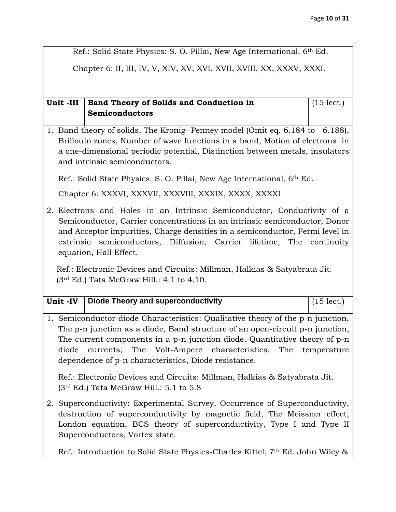Ref.: Solid State Physics: S. O. Pillai, New Age International. 6th Ed.

Chapter 6: II, III, IV, V, XIV, XV, XVI, XVII, XVIII, XX, XXXV, XXXI.

#### Unit -III | Band Theory of Solids and Conduction in **Semiconductors**  (15 lect.)

1. Band theory of solids, The Kronig- Penney model (Omit eq. 6.184 to 6.188), Brillouin zones, Number of wave functions in a band, Motion of electrons in a one-dimensional periodic potential, Distinction between metals, insulators and intrinsic semiconductors.

Ref.: Solid State Physics: S. O. Pillai, New Age International, 6th Ed.

Chapter 6: XXXVI, XXXVII, XXXVIII, XXXIX, XXXX, XXXXI

2. Electrons and Holes in an Intrinsic Semiconductor, Conductivity of a Semiconductor, Carrier concentrations in an intrinsic semiconductor, Donor and Acceptor impurities, Charge densities in a semiconductor, Fermi level in extrinsic semiconductors, Diffusion, Carrier lifetime, The continuity equation, Hall Effect.

 Ref.: Electronic Devices and Circuits: Millman, Halkias & Satyabrata Jit.  $(3<sup>rd</sup> Ed.)$  Tata McGraw Hill.: 4.1 to 4.10.

| Unit -IV   Diode Theory and superconductivity | $(15 \text{ lect.})$ |
|-----------------------------------------------|----------------------|

1. Semiconductor-diode Characteristics: Qualitative theory of the p-n junction, The p-n junction as a diode, Band structure of an open-circuit p-n junction, The current components in a p-n junction diode, Quantitative theory of p-n diode currents, The Volt-Ampere characteristics, The temperature dependence of p-n characteristics, Diode resistance.

Ref.: Electronic Devices and Circuits: Millman, Halkias & Satyabrata Jit.  $(3<sup>rd</sup> Ed.)$  Tata McGraw Hill.: 5.1 to 5.8

2. Superconductivity: Experimental Survey, Occurrence of Superconductivity, destruction of superconductivity by magnetic field, The Meissner effect, London equation, BCS theory of superconductivity, Type I and Type II Superconductors, Vortex state.

Ref.: Introduction to Solid State Physics-Charles Kittel, 7th Ed. John Wiley &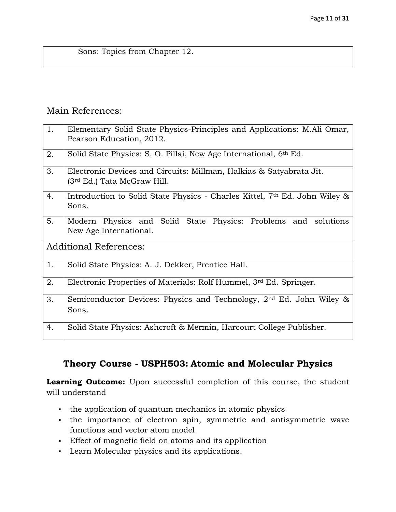Sons: Topics from Chapter 12.

## Main References:

| 1. | Elementary Solid State Physics-Principles and Applications: M.Ali Omar,<br>Pearson Education, 2012.            |
|----|----------------------------------------------------------------------------------------------------------------|
| 2. | Solid State Physics: S. O. Pillai, New Age International, 6 <sup>th</sup> Ed.                                  |
| 3. | Electronic Devices and Circuits: Millman, Halkias & Satyabrata Jit.<br>(3 <sup>rd</sup> Ed.) Tata McGraw Hill. |
| 4. | Introduction to Solid State Physics - Charles Kittel, 7th Ed. John Wiley &<br>Sons.                            |
| 5. | Modern Physics and Solid State Physics: Problems and solutions<br>New Age International.                       |
|    | <b>Additional References:</b>                                                                                  |
| 1. | Solid State Physics: A. J. Dekker, Prentice Hall.                                                              |
| 2. | Electronic Properties of Materials: Rolf Hummel, $3rd$ Ed. Springer.                                           |
| 3. | Semiconductor Devices: Physics and Technology, 2 <sup>nd</sup> Ed. John Wiley &<br>Sons.                       |
| 4. | Solid State Physics: Ashcroft & Mermin, Harcourt College Publisher.                                            |

# **Theory Course - USPH503: Atomic and Molecular Physics**

**Learning Outcome:** Upon successful completion of this course, the student will understand

- the application of quantum mechanics in atomic physics
- the importance of electron spin, symmetric and antisymmetric wave functions and vector atom model
- Effect of magnetic field on atoms and its application
- Learn Molecular physics and its applications.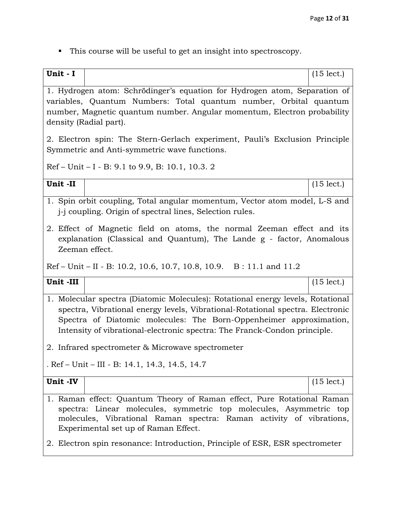This course will be useful to get an insight into spectroscopy.

| Unit - I |                                                                                                                                                                                                                                                                                                                      | $(15$ lect.) |  |
|----------|----------------------------------------------------------------------------------------------------------------------------------------------------------------------------------------------------------------------------------------------------------------------------------------------------------------------|--------------|--|
|          | 1. Hydrogen atom: Schrödinger's equation for Hydrogen atom, Separation of                                                                                                                                                                                                                                            |              |  |
|          | variables, Quantum Numbers: Total quantum number, Orbital quantum                                                                                                                                                                                                                                                    |              |  |
|          | number, Magnetic quantum number. Angular momentum, Electron probability                                                                                                                                                                                                                                              |              |  |
|          | density (Radial part).                                                                                                                                                                                                                                                                                               |              |  |
|          | 2. Electron spin: The Stern-Gerlach experiment, Pauli's Exclusion Principle<br>Symmetric and Anti-symmetric wave functions.                                                                                                                                                                                          |              |  |
|          | $Ref$ – Unit – I – B: 9.1 to 9.9, B: 10.1, 10.3. 2                                                                                                                                                                                                                                                                   |              |  |
| Unit-II  |                                                                                                                                                                                                                                                                                                                      | $(15$ lect.) |  |
|          | 1. Spin orbit coupling, Total angular momentum, Vector atom model, L-S and<br>j-j coupling. Origin of spectral lines, Selection rules.                                                                                                                                                                               |              |  |
|          | 2. Effect of Magnetic field on atoms, the normal Zeeman effect and its<br>explanation (Classical and Quantum), The Lande g - factor, Anomalous<br>Zeeman effect.                                                                                                                                                     |              |  |
|          | $Ref$ – Unit – II - B: 10.2, 10.6, 10.7, 10.8, 10.9. B: 11.1 and 11.2                                                                                                                                                                                                                                                |              |  |
| Unit-III |                                                                                                                                                                                                                                                                                                                      | $(15$ lect.) |  |
|          | 1. Molecular spectra (Diatomic Molecules): Rotational energy levels, Rotational<br>spectra, Vibrational energy levels, Vibrational-Rotational spectra. Electronic<br>Spectra of Diatomic molecules: The Born-Oppenheimer approximation,<br>Intensity of vibrational-electronic spectra: The Franck-Condon principle. |              |  |
|          | 2. Infrared spectrometer & Microwave spectrometer                                                                                                                                                                                                                                                                    |              |  |
|          | . Ref – Unit – III - B: 14.1, 14.3, 14.5, 14.7                                                                                                                                                                                                                                                                       |              |  |
| Unit -IV |                                                                                                                                                                                                                                                                                                                      | $(15$ lect.) |  |
|          | 1. Raman effect: Quantum Theory of Raman effect, Pure Rotational Raman<br>spectra: Linear molecules, symmetric top molecules, Asymmetric top<br>molecules, Vibrational Raman spectra: Raman activity of vibrations,<br>Experimental set up of Raman Effect.                                                          |              |  |
|          | 2. Electron spin resonance: Introduction, Principle of ESR, ESR spectrometer                                                                                                                                                                                                                                         |              |  |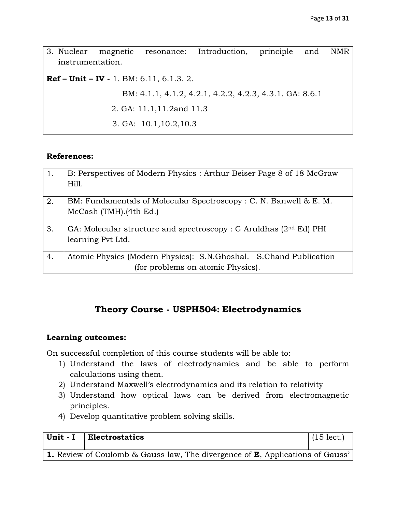| 3. Nuclear       | magnetic | resonance:                                         | Introduction, principle                                 | and | NMR |
|------------------|----------|----------------------------------------------------|---------------------------------------------------------|-----|-----|
| instrumentation. |          |                                                    |                                                         |     |     |
|                  |          | <b>Ref – Unit – IV -</b> 1. BM: $6.11, 6.1.3, 2$ . |                                                         |     |     |
|                  |          |                                                    | BM: 4.1.1, 4.1.2, 4.2.1, 4.2.2, 4.2.3, 4.3.1. GA: 8.6.1 |     |     |
|                  |          | 2. GA: 11.1,11.2 and 11.3                          |                                                         |     |     |
|                  |          | 3. GA: $10.1, 10.2, 10.3$                          |                                                         |     |     |

#### **References:**

| $\vert$ 1. | B: Perspectives of Modern Physics: Arthur Beiser Page 8 of 18 McGraw<br>Hill.                          |
|------------|--------------------------------------------------------------------------------------------------------|
| 2.         | BM: Fundamentals of Molecular Spectroscopy: C. N. Banwell & E. M.<br>McCash (TMH).(4th Ed.)            |
| 3.         | GA: Molecular structure and spectroscopy : G Aruldhas $(2nd Ed)$ PHI<br>learning Pvt Ltd.              |
| 4.         | Atomic Physics (Modern Physics): S.N.Ghoshal. S.Chand Publication<br>(for problems on atomic Physics). |

## **Theory Course - USPH504: Electrodynamics**

#### **Learning outcomes:**

On successful completion of this course students will be able to:

- 1) Understand the laws of electrodynamics and be able to perform calculations using them.
- 2) Understand Maxwell's electrodynamics and its relation to relativity
- 3) Understand how optical laws can be derived from electromagnetic principles.
- 4) Develop quantitative problem solving skills.

| Unit - $I$   Electrostatics                                                                  | $(15 \text{ lect.})$ |
|----------------------------------------------------------------------------------------------|----------------------|
| <b>1.</b> Review of Coulomb & Gauss law, The divergence of <b>E</b> , Applications of Gauss' |                      |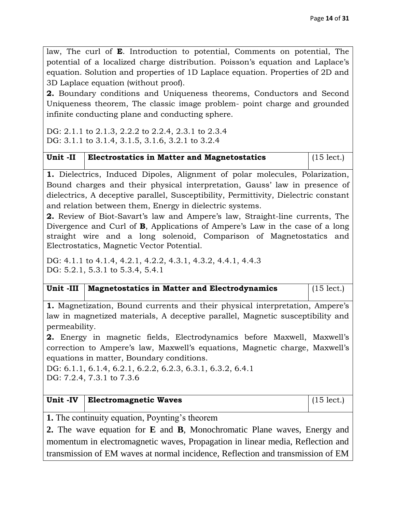law, The curl of **E**. Introduction to potential, Comments on potential, The potential of a localized charge distribution. Poisson's equation and Laplace's equation. Solution and properties of 1D Laplace equation. Properties of 2D and 3D Laplace equation (without proof).

**2.** Boundary conditions and Uniqueness theorems, Conductors and Second Uniqueness theorem, The classic image problem- point charge and grounded infinite conducting plane and conducting sphere.

DG: 2.1.1 to 2.1.3, 2.2.2 to 2.2.4, 2.3.1 to 2.3.4 DG: 3.1.1 to 3.1.4, 3.1.5, 3.1.6, 3.2.1 to 3.2.4

| Unit -II   Electrostatics in Matter and Magnetostatics | $(15 \text{ lect.})$ |
|--------------------------------------------------------|----------------------|
|                                                        |                      |

**1.** Dielectrics, Induced Dipoles, Alignment of polar molecules, Polarization, Bound charges and their physical interpretation, Gauss' law in presence of dielectrics, A deceptive parallel, Susceptibility, Permittivity, Dielectric constant and relation between them, Energy in dielectric systems.

**2.** Review of Biot-Savart's law and Ampere's law, Straight-line currents, The Divergence and Curl of **B**, Applications of Ampere's Law in the case of a long straight wire and a long solenoid, Comparison of Magnetostatics and Electrostatics, Magnetic Vector Potential.

DG: 4.1.1 to 4.1.4, 4.2.1, 4.2.2, 4.3.1, 4.3.2, 4.4.1, 4.4.3 DG: 5.2.1, 5.3.1 to 5.3.4, 5.4.1

| Unit -III   Magnetostatics in Matter and Electrodynamics | $\vert$ (15 lect.) |
|----------------------------------------------------------|--------------------|
|                                                          |                    |

**1.** Magnetization, Bound currents and their physical interpretation, Ampere's law in magnetized materials, A deceptive parallel, Magnetic susceptibility and permeability.

**2.** Energy in magnetic fields, Electrodynamics before Maxwell, Maxwell's correction to Ampere's law, Maxwell's equations, Magnetic charge, Maxwell's equations in matter, Boundary conditions.

DG: 6.1.1, 6.1.4, 6.2.1, 6.2.2, 6.2.3, 6.3.1, 6.3.2, 6.4.1 DG: 7.2.4, 7.3.1 to 7.3.6

| Unit -IV   Electromagnetic Waves | $(15 \text{ lect.})$ |
|----------------------------------|----------------------|
|                                  |                      |

**1.** The continuity equation, Poynting's theorem

**2.** The wave equation for **E** and **B**, Monochromatic Plane waves, Energy and momentum in electromagnetic waves, Propagation in linear media, Reflection and transmission of EM waves at normal incidence, Reflection and transmission of EM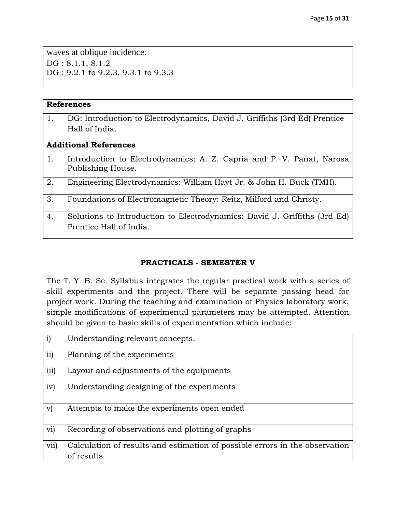waves at oblique incidence. DG: 8.1.1, 8.1.2 DG: 9.2.1 to 9.2.3, 9.3.1 to 9.3.3

|    | <b>References</b>                                                         |
|----|---------------------------------------------------------------------------|
|    |                                                                           |
| 1. | DG: Introduction to Electrodynamics, David J. Griffiths (3rd Ed) Prentice |
|    | Hall of India.                                                            |
|    |                                                                           |
|    | <b>Additional References</b>                                              |
|    |                                                                           |
| 1. | Introduction to Electrodynamics: A. Z. Capria and P. V. Panat, Narosa     |
|    | Publishing House.                                                         |
|    |                                                                           |
| 2. | Engineering Electrodynamics: William Hayt Jr. & John H. Buck (TMH).       |
|    |                                                                           |
|    |                                                                           |
| 3. | Foundations of Electromagnetic Theory: Reitz, Milford and Christy.        |
|    |                                                                           |
| 4. | Solutions to Introduction to Electrodynamics: David J. Griffiths (3rd Ed) |
|    | Prentice Hall of India.                                                   |
|    |                                                                           |
|    |                                                                           |

#### **PRACTICALS - SEMESTER V**

The T. Y. B. Sc. Syllabus integrates the regular practical work with a series of skill experiments and the project. There will be separate passing head for project work. During the teaching and examination of Physics laboratory work, simple modifications of experimental parameters may be attempted. Attention should be given to basic skills of experimentation which include:

| $\mathbf{i}$    | Understanding relevant concepts.                                                          |
|-----------------|-------------------------------------------------------------------------------------------|
| $\overline{11}$ | Planning of the experiments                                                               |
| iii)            | Layout and adjustments of the equipments                                                  |
| iv)             | Understanding designing of the experiments                                                |
| $\mathbf{v}$    | Attempts to make the experiments open ended                                               |
| vi)             | Recording of observations and plotting of graphs                                          |
| vii)            | Calculation of results and estimation of possible errors in the observation<br>of results |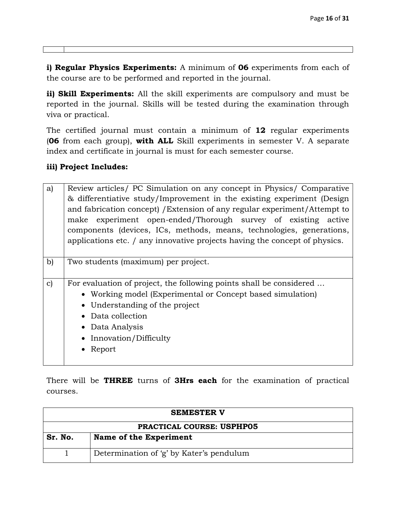**i) Regular Physics Experiments:** A minimum of **06** experiments from each of the course are to be performed and reported in the journal.

**ii) Skill Experiments:** All the skill experiments are compulsory and must be reported in the journal. Skills will be tested during the examination through viva or practical.

The certified journal must contain a minimum of **12** regular experiments (**06** from each group), **with ALL** Skill experiments in semester V. A separate index and certificate in journal is must for each semester course.

#### **iii) Project Includes:**

| a)           | Review articles/ PC Simulation on any concept in Physics/ Comparative      |
|--------------|----------------------------------------------------------------------------|
|              | & differentiative study/Improvement in the existing experiment (Design     |
|              | and fabrication concept) / Extension of any regular experiment/Attempt to  |
|              | make experiment open-ended/Thorough survey of existing active              |
|              | components (devices, ICs, methods, means, technologies, generations,       |
|              | applications etc. / any innovative projects having the concept of physics. |
|              |                                                                            |
| b)           | Two students (maximum) per project.                                        |
|              |                                                                            |
| $\mathbf{c}$ | For evaluation of project, the following points shall be considered        |
|              | • Working model (Experimental or Concept based simulation)                 |
|              | • Understanding of the project                                             |
|              | Data collection                                                            |
|              | • Data Analysis                                                            |
|              | • Innovation/Difficulty                                                    |
|              | Report                                                                     |
|              |                                                                            |

There will be **THREE** turns of **3Hrs each** for the examination of practical courses.

| <b>SEMESTER V</b>                |                                          |  |
|----------------------------------|------------------------------------------|--|
| <b>PRACTICAL COURSE: USPHP05</b> |                                          |  |
| Sr. No.                          | Name of the Experiment                   |  |
|                                  | Determination of 'g' by Kater's pendulum |  |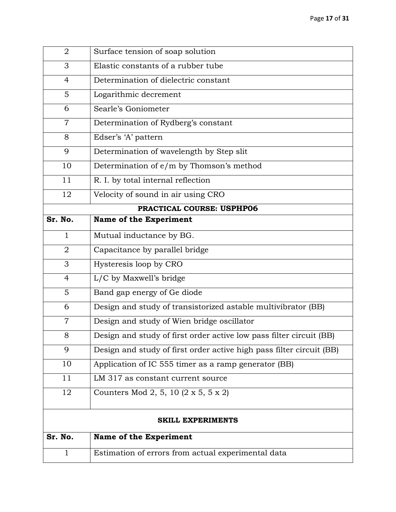| $\overline{2}$ | Surface tension of soap solution                                     |
|----------------|----------------------------------------------------------------------|
| 3              | Elastic constants of a rubber tube                                   |
| 4              | Determination of dielectric constant                                 |
| 5              | Logarithmic decrement                                                |
| 6              | Searle's Goniometer                                                  |
| $\overline{7}$ | Determination of Rydberg's constant                                  |
| 8              | Edser's 'A' pattern                                                  |
| 9              | Determination of wavelength by Step slit                             |
| 10             | Determination of e/m by Thomson's method                             |
| 11             | R. I. by total internal reflection                                   |
| 12             | Velocity of sound in air using CRO                                   |
|                | PRACTICAL COURSE: USPHP06                                            |
| Sr. No.        | <b>Name of the Experiment</b>                                        |
| $\mathbf{1}$   | Mutual inductance by BG.                                             |
| $\overline{2}$ | Capacitance by parallel bridge                                       |
| 3              | Hysteresis loop by CRO                                               |
| $\overline{4}$ | L/C by Maxwell's bridge                                              |
| 5              | Band gap energy of Ge diode                                          |
| 6              | Design and study of transistorized astable multivibrator (BB)        |
| $\overline{7}$ | Design and study of Wien bridge oscillator                           |
| 8              | Design and study of first order active low pass filter circuit (BB)  |
| 9              | Design and study of first order active high pass filter circuit (BB) |
| 10             | Application of IC 555 timer as a ramp generator (BB)                 |
| 11             | LM 317 as constant current source                                    |
| 12             | Counters Mod 2, 5, 10 (2 x 5, 5 x 2)                                 |
|                | <b>SKILL EXPERIMENTS</b>                                             |
| Sr. No.        | <b>Name of the Experiment</b>                                        |
| $\mathbf{1}$   | Estimation of errors from actual experimental data                   |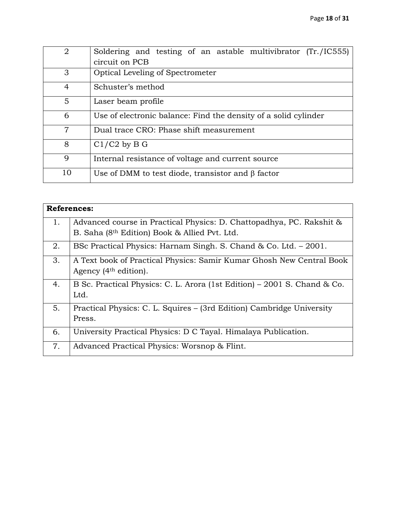| 2              | Soldering and testing of an astable multivibrator (Tr./IC555)<br>circuit on PCB |
|----------------|---------------------------------------------------------------------------------|
| 3              | <b>Optical Leveling of Spectrometer</b>                                         |
| 4              | Schuster's method                                                               |
| 5              | Laser beam profile                                                              |
| 6              | Use of electronic balance: Find the density of a solid cylinder                 |
| $\overline{7}$ | Dual trace CRO: Phase shift measurement                                         |
| 8              | $C1/C2$ by B G                                                                  |
| 9              | Internal resistance of voltage and current source                               |
| 10             | Use of DMM to test diode, transistor and $\beta$ factor                         |

|    | <b>References:</b>                                                       |  |  |  |
|----|--------------------------------------------------------------------------|--|--|--|
| 1. | Advanced course in Practical Physics: D. Chattopadhya, PC. Rakshit &     |  |  |  |
|    | B. Saha (8 <sup>th</sup> Edition) Book & Allied Pvt. Ltd.                |  |  |  |
| 2. | BSc Practical Physics: Harnam Singh. S. Chand & Co. Ltd. – 2001.         |  |  |  |
| 3. | A Text book of Practical Physics: Samir Kumar Ghosh New Central Book     |  |  |  |
|    | Agency (4 <sup>th</sup> edition).                                        |  |  |  |
| 4. | B Sc. Practical Physics: C. L. Arora (1st Edition) – 2001 S. Chand & Co. |  |  |  |
|    | Ltd.                                                                     |  |  |  |
| 5. | Practical Physics: C. L. Squires - (3rd Edition) Cambridge University    |  |  |  |
|    | Press.                                                                   |  |  |  |
| 6. | University Practical Physics: D C Tayal. Himalaya Publication.           |  |  |  |
| 7. | Advanced Practical Physics: Worsnop & Flint.                             |  |  |  |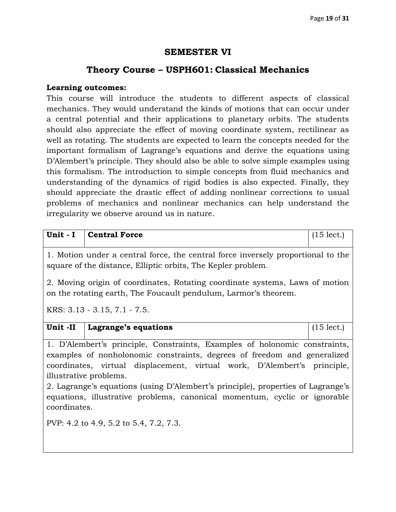### **SEMESTER VI**

# **Theory Course – USPH601: Classical Mechanics**

#### **Learning outcomes:**

This course will introduce the students to different aspects of classical mechanics. They would understand the kinds of motions that can occur under a central potential and their applications to planetary orbits. The students should also appreciate the effect of moving coordinate system, rectilinear as well as rotating. The students are expected to learn the concepts needed for the important formalism of Lagrange's equations and derive the equations using D'Alembert's principle. They should also be able to solve simple examples using this formalism. The introduction to simple concepts from fluid mechanics and understanding of the dynamics of rigid bodies is also expected. Finally, they should appreciate the drastic effect of adding nonlinear corrections to usual problems of mechanics and nonlinear mechanics can help understand the irregularity we observe around us in nature.

| Unit - I                                                                                                                                             | <b>Central Force</b>                                                      | $(15$ lect.) |  |
|------------------------------------------------------------------------------------------------------------------------------------------------------|---------------------------------------------------------------------------|--------------|--|
| 1. Motion under a central force, the central force inversely proportional to the<br>square of the distance, Elliptic orbits, The Kepler problem.     |                                                                           |              |  |
| 2. Moving origin of coordinates, Rotating coordinate systems, Laws of motion<br>on the rotating earth, The Foucault pendulum, Larmor's theorem.      |                                                                           |              |  |
| KRS: 3.13 - 3.15, 7.1 - 7.5.                                                                                                                         |                                                                           |              |  |
| Unit -II                                                                                                                                             | Lagrange's equations                                                      | $(15$ lect.) |  |
| 1. D'Alembert's principle, Constraints, Examples of holonomic constraints,                                                                           |                                                                           |              |  |
| examples of nonholonomic constraints, degrees of freedom and generalized<br>coordinates, virtual displacement, virtual work, D'Alembert's principle, |                                                                           |              |  |
| illustrative problems.                                                                                                                               |                                                                           |              |  |
| 2. Lagrange's equations (using D'Alembert's principle), properties of Lagrange's                                                                     |                                                                           |              |  |
|                                                                                                                                                      | equations, illustrative problems, canonical momentum, cyclic or ignorable |              |  |

PVP: 4.2 to 4.9, 5.2 to 5.4, 7.2, 7.3.

coordinates.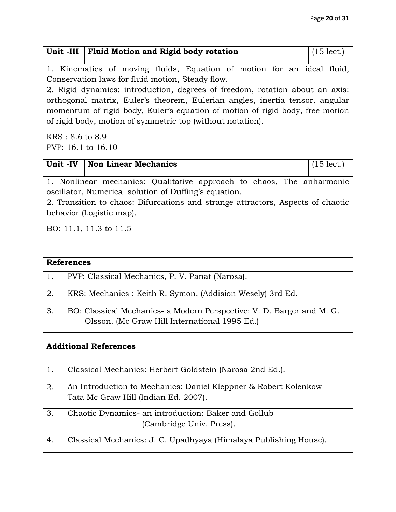|                                                                                                                                                                                                                                                                                                                                                                             | Unit -III   Fluid Motion and Rigid body rotation                                                                                                                                                                                                                        | $(15$ lect.) |
|-----------------------------------------------------------------------------------------------------------------------------------------------------------------------------------------------------------------------------------------------------------------------------------------------------------------------------------------------------------------------------|-------------------------------------------------------------------------------------------------------------------------------------------------------------------------------------------------------------------------------------------------------------------------|--------------|
| 1. Kinematics of moving fluids, Equation of motion for an ideal fluid,<br>Conservation laws for fluid motion, Steady flow.<br>2. Rigid dynamics: introduction, degrees of freedom, rotation about an axis:<br>orthogonal matrix, Euler's theorem, Eulerian angles, inertia tensor, angular<br>momentum of rigid body, Euler's equation of motion of rigid body, free motion |                                                                                                                                                                                                                                                                         |              |
| of rigid body, motion of symmetric top (without notation).<br>$KRS: 8.6$ to 8.9<br>PVP: 16.1 to 16.10                                                                                                                                                                                                                                                                       |                                                                                                                                                                                                                                                                         |              |
| Unit -IV                                                                                                                                                                                                                                                                                                                                                                    | <b>Non Linear Mechanics</b>                                                                                                                                                                                                                                             | $(15$ lect.) |
|                                                                                                                                                                                                                                                                                                                                                                             | 1. Nonlinear mechanics: Qualitative approach to chaos, The anharmonic<br>oscillator, Numerical solution of Duffing's equation.<br>2. Transition to chaos: Bifurcations and strange attractors, Aspects of chaotic<br>behavior (Logistic map).<br>BO: 11.1, 11.3 to 11.5 |              |

|    | <b>References</b>                                                     |  |  |
|----|-----------------------------------------------------------------------|--|--|
| 1. | PVP: Classical Mechanics, P. V. Panat (Narosa).                       |  |  |
| 2. | KRS: Mechanics: Keith R. Symon, (Addision Wesely) 3rd Ed.             |  |  |
| 3. | BO: Classical Mechanics- a Modern Perspective: V. D. Barger and M. G. |  |  |
|    | Olsson. (Mc Graw Hill International 1995 Ed.)                         |  |  |
|    | <b>Additional References</b>                                          |  |  |
| 1. | Classical Mechanics: Herbert Goldstein (Narosa 2nd Ed.).              |  |  |
| 2. | An Introduction to Mechanics: Daniel Kleppner & Robert Kolenkow       |  |  |
|    | Tata Mc Graw Hill (Indian Ed. 2007).                                  |  |  |
| 3. | Chaotic Dynamics- an introduction: Baker and Gollub                   |  |  |
|    | (Cambridge Univ. Press).                                              |  |  |
| 4. | Classical Mechanics: J. C. Upadhyaya (Himalaya Publishing House).     |  |  |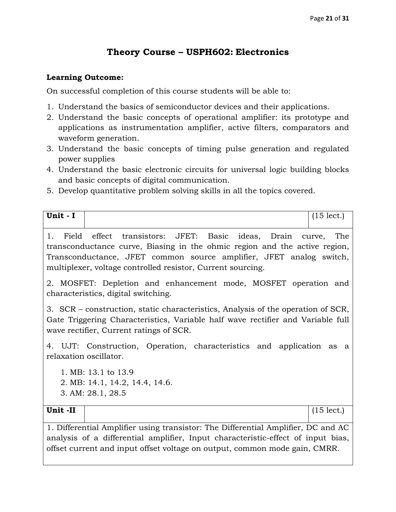# **Theory Course – USPH602: Electronics**

#### **Learning Outcome:**

On successful completion of this course students will be able to:

- 1. Understand the basics of semiconductor devices and their applications.
- 2. Understand the basic concepts of operational amplifier: its prototype and applications as instrumentation amplifier, active filters, comparators and waveform generation.
- 3. Understand the basic concepts of timing pulse generation and regulated power supplies
- 4. Understand the basic electronic circuits for universal logic building blocks and basic concepts of digital communication.
- 5. Develop quantitative problem solving skills in all the topics covered.

| Unit - I                                                                                                                                                                                                       |                                                                                                                                                                                                                                                                                                                                                      | $(15 \text{ lect.})$ |
|----------------------------------------------------------------------------------------------------------------------------------------------------------------------------------------------------------------|------------------------------------------------------------------------------------------------------------------------------------------------------------------------------------------------------------------------------------------------------------------------------------------------------------------------------------------------------|----------------------|
| 1.                                                                                                                                                                                                             | Field effect transistors: JFET: Basic ideas, Drain curve, The<br>transconductance curve, Biasing in the ohmic region and the active region,<br>Transconductance, JFET common source amplifier, JFET analog switch,<br>multiplexer, voltage controlled resistor, Current sourcing.<br>2. MOSFET: Depletion and enhancement mode, MOSFET operation and |                      |
|                                                                                                                                                                                                                | characteristics, digital switching.                                                                                                                                                                                                                                                                                                                  |                      |
| 3. SCR – construction, static characteristics, Analysis of the operation of SCR,<br>Gate Triggering Characteristics, Variable half wave rectifier and Variable full<br>wave rectifier, Current ratings of SCR. |                                                                                                                                                                                                                                                                                                                                                      |                      |
|                                                                                                                                                                                                                | 4. UJT: Construction, Operation, characteristics and application as a<br>relaxation oscillator.                                                                                                                                                                                                                                                      |                      |
|                                                                                                                                                                                                                | 1. MB: 13.1 to 13.9                                                                                                                                                                                                                                                                                                                                  |                      |
|                                                                                                                                                                                                                | 2. MB: 14.1, 14.2, 14.4, 14.6.                                                                                                                                                                                                                                                                                                                       |                      |
|                                                                                                                                                                                                                | 3. AM: 28.1, 28.5                                                                                                                                                                                                                                                                                                                                    |                      |
| Unit-II                                                                                                                                                                                                        |                                                                                                                                                                                                                                                                                                                                                      | $(15$ lect.)         |
|                                                                                                                                                                                                                | 1. Differential Amplifier using transistor: The Differential Amplifier, DC and AC                                                                                                                                                                                                                                                                    |                      |
| analysis of a differential amplifier, Input characteristic-effect of input bias,                                                                                                                               |                                                                                                                                                                                                                                                                                                                                                      |                      |

offset current and input offset voltage on output, common mode gain, CMRR.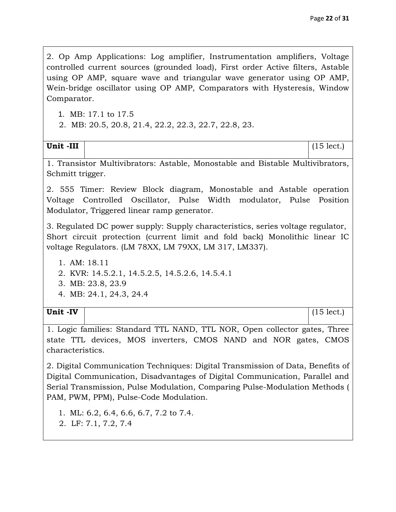2. Op Amp Applications: Log amplifier, Instrumentation amplifiers, Voltage controlled current sources (grounded load), First order Active filters, Astable using OP AMP, square wave and triangular wave generator using OP AMP, Wein-bridge oscillator using OP AMP, Comparators with Hysteresis, Window Comparator.

1. MB: 17.1 to 17.5

**2.** 2. MB: 20.5, 20.8, 21.4, 22.2, 22.3, 22.7, 22.8, 23.

| Unit -III | (151)<br>$H^+$<br>100a. |
|-----------|-------------------------|

1. Transistor Multivibrators: Astable, Monostable and Bistable Multivibrators, Schmitt trigger.

2. 555 Timer: Review Block diagram, Monostable and Astable operation Voltage Controlled Oscillator, Pulse Width modulator, Pulse Position Modulator, Triggered linear ramp generator.

3. Regulated DC power supply: Supply characteristics, series voltage regulator, Short circuit protection (current limit and fold back) Monolithic linear IC voltage Regulators. (LM 78XX, LM 79XX, LM 317, LM337).

- 1. AM: 18.11
- 2. KVR: 14.5.2.1, 14.5.2.5, 14.5.2.6, 14.5.4.1
- 3. MB: 23.8, 23.9
- 4. MB: 24.1, 24.3, 24.4

#### **Unit -IV** (15 lect.)

1. Logic families: Standard TTL NAND, TTL NOR, Open collector gates, Three state TTL devices, MOS inverters, CMOS NAND and NOR gates, CMOS characteristics.

2. Digital Communication Techniques: Digital Transmission of Data, Benefits of Digital Communication, Disadvantages of Digital Communication, Parallel and Serial Transmission, Pulse Modulation, Comparing Pulse-Modulation Methods ( PAM, PWM, PPM), Pulse-Code Modulation.

1. ML: 6.2, 6.4, 6.6, 6.7, 7.2 to 7.4.

2. 2. LF: 7.1, 7.2, 7.4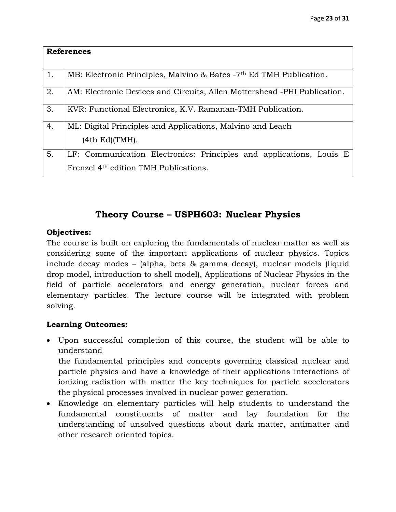|    | <b>References</b>                                                                                                        |
|----|--------------------------------------------------------------------------------------------------------------------------|
| 1. | MB: Electronic Principles, Malvino & Bates -7 <sup>th</sup> Ed TMH Publication.                                          |
| 2. | AM: Electronic Devices and Circuits, Allen Mottershead -PHI Publication.                                                 |
| 3. | KVR: Functional Electronics, K.V. Ramanan-TMH Publication.                                                               |
| 4. | ML: Digital Principles and Applications, Malvino and Leach<br>(4th Ed)(TMH).                                             |
| 5. | LF: Communication Electronics: Principles and applications, Louis E<br>Frenzel 4 <sup>th</sup> edition TMH Publications. |

# **Theory Course – USPH603: Nuclear Physics**

#### **Objectives:**

The course is built on exploring the fundamentals of nuclear matter as well as considering some of the important applications of nuclear physics. Topics include decay modes – (alpha, beta & gamma decay), nuclear models (liquid drop model, introduction to shell model), Applications of Nuclear Physics in the field of particle accelerators and energy generation, nuclear forces and elementary particles. The lecture course will be integrated with problem solving.

#### **Learning Outcomes:**

 Upon successful completion of this course, the student will be able to understand

the fundamental principles and concepts governing classical nuclear and particle physics and have a knowledge of their applications interactions of ionizing radiation with matter the key techniques for particle accelerators the physical processes involved in nuclear power generation.

 Knowledge on elementary particles will help students to understand the fundamental constituents of matter and lay foundation for the understanding of unsolved questions about dark matter, antimatter and other research oriented topics.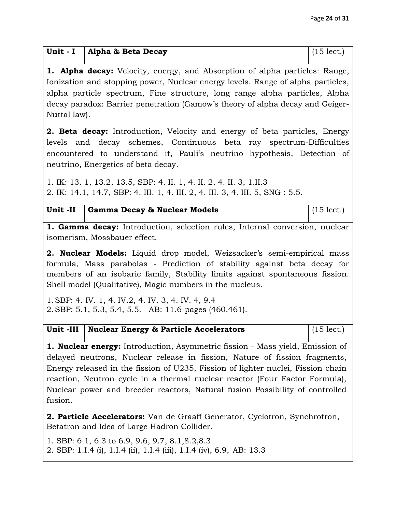| Unit - I   Alpha & Beta Decay | $(15$ lect.) |
|-------------------------------|--------------|

**1. Alpha decay:** Velocity, energy, and Absorption of alpha particles: Range, Ionization and stopping power, Nuclear energy levels. Range of alpha particles, alpha particle spectrum, Fine structure, long range alpha particles, Alpha decay paradox: Barrier penetration (Gamow's theory of alpha decay and Geiger-Nuttal law).

**2. Beta decay:** Introduction, Velocity and energy of beta particles, Energy levels and decay schemes, Continuous beta ray spectrum-Difficulties encountered to understand it, Pauli's neutrino hypothesis, Detection of neutrino, Energetics of beta decay.

1. IK: 13. 1, 13.2, 13.5, SBP: 4. II. 1, 4. II. 2, 4. II. 3, 1.II.3 2. IK: 14.1, 14.7, SBP: 4. III. 1, 4. III. 2, 4. III. 3, 4. III. 5, SNG : 5.5.

| Unit -II Gamma Decay & Nuclear Models | $(15 \text{ lect.})$ |
|---------------------------------------|----------------------|

**1. Gamma decay:** Introduction, selection rules, Internal conversion, nuclear isomerism, Mossbauer effect.

**2. Nuclear Models:** Liquid drop model, Weizsacker's semi-empirical mass formula, Mass parabolas - Prediction of stability against beta decay for members of an isobaric family, Stability limits against spontaneous fission. Shell model (Qualitative), Magic numbers in the nucleus.

1.SBP: 4. IV. 1, 4. IV.2, 4. IV. 3, 4. IV. 4, 9.4 2.SBP: 5.1, 5.3, 5.4, 5.5. AB: 11.6-pages (460,461).

| Unit -III   Nuclear Energy & Particle Accelerators | $(15$ lect.) |
|----------------------------------------------------|--------------|
|----------------------------------------------------|--------------|

**1. Nuclear energy:** Introduction, Asymmetric fission - Mass yield, Emission of delayed neutrons, Nuclear release in fission, Nature of fission fragments, Energy released in the fission of U235, Fission of lighter nuclei, Fission chain reaction, Neutron cycle in a thermal nuclear reactor (Four Factor Formula), Nuclear power and breeder reactors, Natural fusion Possibility of controlled fusion.

**2. Particle Accelerators:** Van de Graaff Generator, Cyclotron, Synchrotron, Betatron and Idea of Large Hadron Collider.

1. SBP: 6.1, 6.3 to 6.9, 9.6, 9.7, 8.1,8.2,8.3 2. SBP: 1.I.4 (i), 1.I.4 (ii), 1.I.4 (iii), 1.I.4 (iv), 6.9, AB: 13.3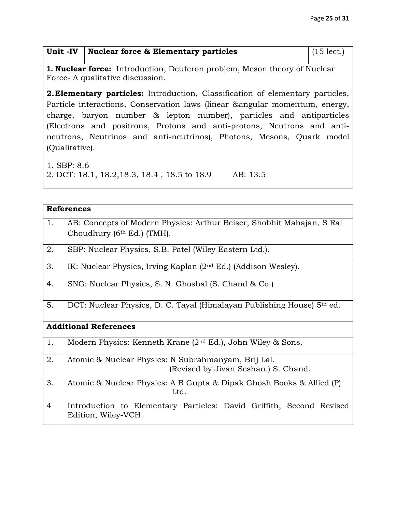| Unit -IV   Nuclear force $\&$ Elementary particles | $(15 \text{ lect.})$ |
|----------------------------------------------------|----------------------|
|                                                    |                      |

**1. Nuclear force:** Introduction, Deuteron problem, Meson theory of Nuclear Force- A qualitative discussion.

**2.Elementary particles:** Introduction, Classification of elementary particles, Particle interactions, Conservation laws (linear &angular momentum, energy, charge, baryon number & lepton number), particles and antiparticles (Electrons and positrons, Protons and anti-protons, Neutrons and antineutrons, Neutrinos and anti-neutrinos), Photons, Mesons, Quark model (Qualitative).

1. SBP: 8.6

2. DCT: 18.1, 18.2,18.3, 18.4 , 18.5 to 18.9 AB: 13.5

| <b>References</b> |                                                                                                     |  |
|-------------------|-----------------------------------------------------------------------------------------------------|--|
| 1.                | AB: Concepts of Modern Physics: Arthur Beiser, Shobhit Mahajan, S Rai<br>Choudhury (6th Ed.) (TMH). |  |
| 2.                | SBP: Nuclear Physics, S.B. Patel (Wiley Eastern Ltd.).                                              |  |
| 3.                | IK: Nuclear Physics, Irving Kaplan $(2nd Ed.)$ (Addison Wesley).                                    |  |
| 4.                | SNG: Nuclear Physics, S. N. Ghoshal (S. Chand & Co.)                                                |  |
| 5.                | DCT: Nuclear Physics, D. C. Tayal (Himalayan Publishing House) 5th ed.                              |  |
|                   | <b>Additional References</b>                                                                        |  |
| 1.                | Modern Physics: Kenneth Krane $(2nd Ed.)$ , John Wiley & Sons.                                      |  |
| 2.                | Atomic & Nuclear Physics: N Subrahmanyam, Brij Lal.<br>(Revised by Jivan Seshan.) S. Chand.         |  |
| 3.                | Atomic & Nuclear Physics: A B Gupta & Dipak Ghosh Books & Allied (P)<br>Ltd.                        |  |
| $\overline{4}$    | Introduction to Elementary Particles: David Griffith, Second Revised<br>Edition, Wiley-VCH.         |  |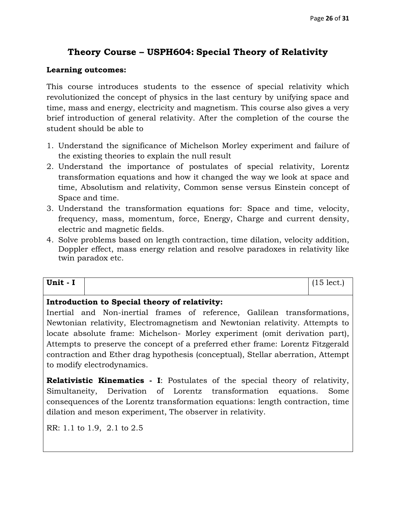# **Theory Course – USPH604: Special Theory of Relativity**

#### **Learning outcomes:**

This course introduces students to the essence of special relativity which revolutionized the concept of physics in the last century by unifying space and time, mass and energy, electricity and magnetism. This course also gives a very brief introduction of general relativity. After the completion of the course the student should be able to

- 1. Understand the significance of Michelson Morley experiment and failure of the existing theories to explain the null result
- 2. Understand the importance of postulates of special relativity, Lorentz transformation equations and how it changed the way we look at space and time, Absolutism and relativity, Common sense versus Einstein concept of Space and time.
- 3. Understand the transformation equations for: Space and time, velocity, frequency, mass, momentum, force, Energy, Charge and current density, electric and magnetic fields.
- 4. Solve problems based on length contraction, time dilation, velocity addition, Doppler effect, mass energy relation and resolve paradoxes in relativity like twin paradox etc.

| Unit -<br>-<br>. . | .<br>15 lect |
|--------------------|--------------|
|                    |              |

#### **Introduction to Special theory of relativity:**

Inertial and Non-inertial frames of reference, Galilean transformations, Newtonian relativity, Electromagnetism and Newtonian relativity. Attempts to locate absolute frame: Michelson- Morley experiment (omit derivation part), Attempts to preserve the concept of a preferred ether frame: Lorentz Fitzgerald contraction and Ether drag hypothesis (conceptual), Stellar aberration, Attempt to modify electrodynamics.

**Relativistic Kinematics - I**: Postulates of the special theory of relativity, Simultaneity, Derivation of Lorentz transformation equations. Some consequences of the Lorentz transformation equations: length contraction, time dilation and meson experiment, The observer in relativity.

RR: 1.1 to 1.9, 2.1 to 2.5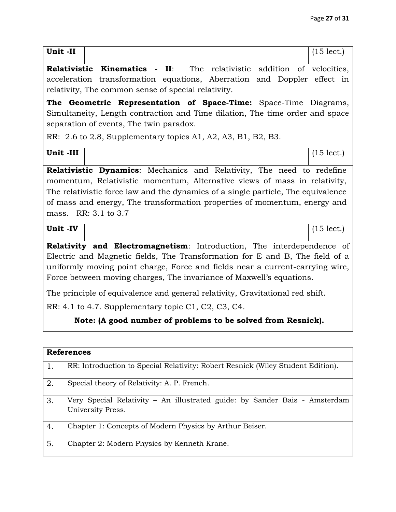| Unit-II                                                                       |  |                                                                                                 | $(15$ lect.) |
|-------------------------------------------------------------------------------|--|-------------------------------------------------------------------------------------------------|--------------|
|                                                                               |  | <b>Relativistic Kinematics - II:</b> The relativistic addition of velocities,                   |              |
|                                                                               |  | acceleration transformation equations, Aberration and Doppler effect in                         |              |
|                                                                               |  | relativity, The common sense of special relativity.                                             |              |
|                                                                               |  | The Geometric Representation of Space-Time: Space-Time Diagrams,                                |              |
|                                                                               |  | Simultaneity, Length contraction and Time dilation, The time order and space                    |              |
|                                                                               |  | separation of events, The twin paradox.                                                         |              |
|                                                                               |  | RR: 2.6 to 2.8, Supplementary topics A1, A2, A3, B1, B2, B3.                                    |              |
| Unit-III                                                                      |  |                                                                                                 | $(15$ lect.) |
|                                                                               |  | <b>Relativistic Dynamics:</b> Mechanics and Relativity, The need to redefine                    |              |
|                                                                               |  | momentum, Relativistic momentum, Alternative views of mass in relativity,                       |              |
|                                                                               |  | The relativistic force law and the dynamics of a single particle, The equivalence               |              |
|                                                                               |  | of mass and energy, The transformation properties of momentum, energy and                       |              |
|                                                                               |  | mass. RR: 3.1 to 3.7                                                                            |              |
| Unit -IV                                                                      |  |                                                                                                 | $(15$ lect.) |
|                                                                               |  |                                                                                                 |              |
|                                                                               |  | Relativity and Electromagnetism: Introduction, The interdependence of                           |              |
|                                                                               |  | Electric and Magnetic fields, The Transformation for E and B, The field of a                    |              |
| uniformly moving point charge, Force and fields near a current-carrying wire, |  |                                                                                                 |              |
|                                                                               |  | Force between moving charges, The invariance of Maxwell's equations.                            |              |
| The principle of equivalence and general relativity, Gravitational red shift. |  |                                                                                                 |              |
|                                                                               |  | RR: 4.1 to 4.7. Supplementary topic C1, C2, C3, C4.                                             |              |
|                                                                               |  | Note: (A good number of problems to be solved from Resnick).                                    |              |
|                                                                               |  |                                                                                                 |              |
| <b>References</b>                                                             |  |                                                                                                 |              |
| 1.                                                                            |  | RR: Introduction to Special Relativity: Robert Resnick (Wiley Student Edition).                 |              |
| 2.                                                                            |  | Special theory of Relativity: A. P. French.                                                     |              |
| 3.                                                                            |  | Very Special Relativity - An illustrated guide: by Sander Bais - Amsterdam<br>University Press. |              |
| 4.                                                                            |  | Chapter 1: Concepts of Modern Physics by Arthur Beiser.                                         |              |
| 5.                                                                            |  | Chapter 2: Modern Physics by Kenneth Krane.                                                     |              |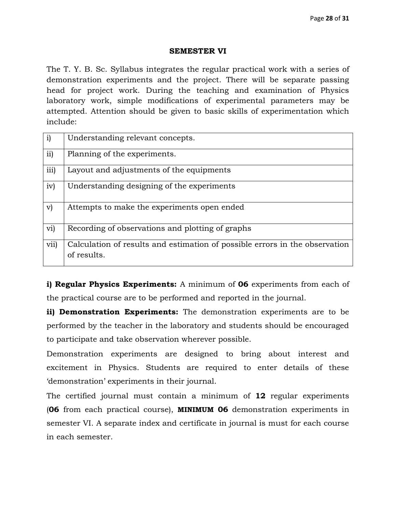#### **SEMESTER VI**

The T. Y. B. Sc. Syllabus integrates the regular practical work with a series of demonstration experiments and the project. There will be separate passing head for project work. During the teaching and examination of Physics laboratory work, simple modifications of experimental parameters may be attempted. Attention should be given to basic skills of experimentation which include:

| $\mathbf{i}$ | Understanding relevant concepts.                                                           |
|--------------|--------------------------------------------------------------------------------------------|
| ii)          | Planning of the experiments.                                                               |
| iii)         | Layout and adjustments of the equipments                                                   |
| iv)          | Understanding designing of the experiments                                                 |
| $\mathbf{v}$ | Attempts to make the experiments open ended                                                |
| vi)          | Recording of observations and plotting of graphs                                           |
| vii)         | Calculation of results and estimation of possible errors in the observation<br>of results. |

**i) Regular Physics Experiments:** A minimum of **06** experiments from each of the practical course are to be performed and reported in the journal.

**ii) Demonstration Experiments:** The demonstration experiments are to be performed by the teacher in the laboratory and students should be encouraged to participate and take observation wherever possible.

Demonstration experiments are designed to bring about interest and excitement in Physics. Students are required to enter details of these 'demonstration' experiments in their journal.

The certified journal must contain a minimum of **12** regular experiments (**06** from each practical course), **MINIMUM 06** demonstration experiments in semester VI. A separate index and certificate in journal is must for each course in each semester.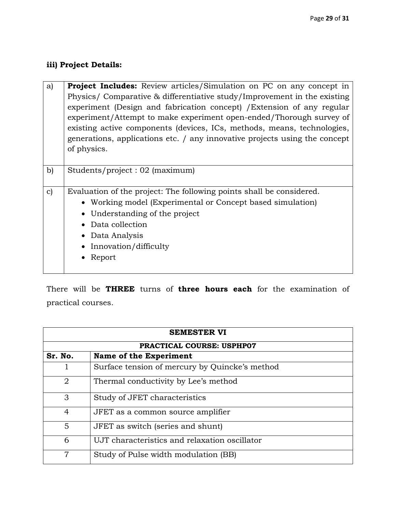## **iii) Project Details:**

 $\mathsf{r}$ 

| a)            | <b>Project Includes:</b> Review articles/Simulation on PC on any concept in<br>Physics/ Comparative & differentiative study/Improvement in the existing<br>experiment (Design and fabrication concept) / Extension of any regular<br>experiment/Attempt to make experiment open-ended/Thorough survey of<br>existing active components (devices, ICs, methods, means, technologies,<br>generations, applications etc. / any innovative projects using the concept<br>of physics. |
|---------------|----------------------------------------------------------------------------------------------------------------------------------------------------------------------------------------------------------------------------------------------------------------------------------------------------------------------------------------------------------------------------------------------------------------------------------------------------------------------------------|
| b)            | Students/project: 02 (maximum)                                                                                                                                                                                                                                                                                                                                                                                                                                                   |
| $\mathbf{c})$ | Evaluation of the project: The following points shall be considered.<br>• Working model (Experimental or Concept based simulation)<br>• Understanding of the project<br>Data collection<br>• Data Analysis<br>• Innovation/difficulty<br>Report                                                                                                                                                                                                                                  |

There will be **THREE** turns of **three hours each** for the examination of practical courses.

| <b>SEMESTER VI</b>               |                                                |  |
|----------------------------------|------------------------------------------------|--|
| <b>PRACTICAL COURSE: USPHP07</b> |                                                |  |
| Sr. No.                          | Name of the Experiment                         |  |
|                                  | Surface tension of mercury by Quincke's method |  |
| 2                                | Thermal conductivity by Lee's method           |  |
| 3                                | Study of JFET characteristics                  |  |
| 4                                | JFET as a common source amplifier              |  |
| $\overline{5}$                   | JFET as switch (series and shunt)              |  |
| 6                                | UJT characteristics and relaxation oscillator  |  |
| 7                                | Study of Pulse width modulation (BB)           |  |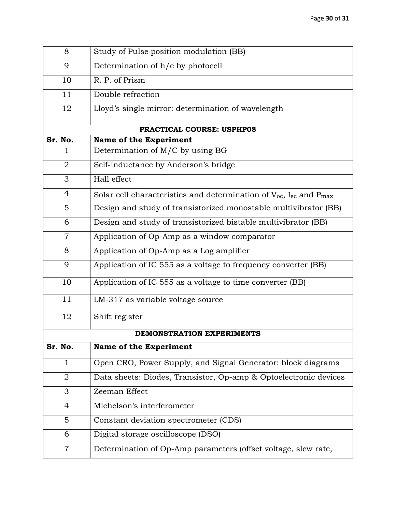| 8              | Study of Pulse position modulation (BB)                                                  |
|----------------|------------------------------------------------------------------------------------------|
| 9              | Determination of h/e by photocell                                                        |
| 10             | R. P. of Prism                                                                           |
| 11             | Double refraction                                                                        |
| 12             | Lloyd's single mirror: determination of wavelength                                       |
|                | PRACTICAL COURSE: USPHP08                                                                |
| Sr. No.        | <b>Name of the Experiment</b>                                                            |
|                | Determination of M/C by using BG                                                         |
| $\overline{2}$ | Self-inductance by Anderson's bridge                                                     |
| 3              | Hall effect                                                                              |
| $\overline{4}$ | Solar cell characteristics and determination of $V_{oc}$ , I <sub>sc</sub> and $P_{max}$ |
| 5              | Design and study of transistorized monostable multivibrator (BB)                         |
| 6              | Design and study of transistorized bistable multivibrator (BB)                           |
| $\overline{7}$ | Application of Op-Amp as a window comparator                                             |
| 8              | Application of Op-Amp as a Log amplifier                                                 |
| 9              | Application of IC 555 as a voltage to frequency converter (BB)                           |
| 10             | Application of IC 555 as a voltage to time converter (BB)                                |
| 11             | LM-317 as variable voltage source                                                        |
| 12             | Shift register                                                                           |
|                | DEMONSTRATION EXPERIMENTS                                                                |
| Sr. No.        | <b>Name of the Experiment</b>                                                            |
| $\mathbf{1}$   | Open CRO, Power Supply, and Signal Generator: block diagrams                             |
| 2              | Data sheets: Diodes, Transistor, Op-amp & Optoelectronic devices                         |
| 3              | Zeeman Effect                                                                            |
| 4              | Michelson's interferometer                                                               |
| 5              | Constant deviation spectrometer (CDS)                                                    |
| 6              | Digital storage oscilloscope (DSO)                                                       |
| $\overline{7}$ | Determination of Op-Amp parameters (offset voltage, slew rate,                           |